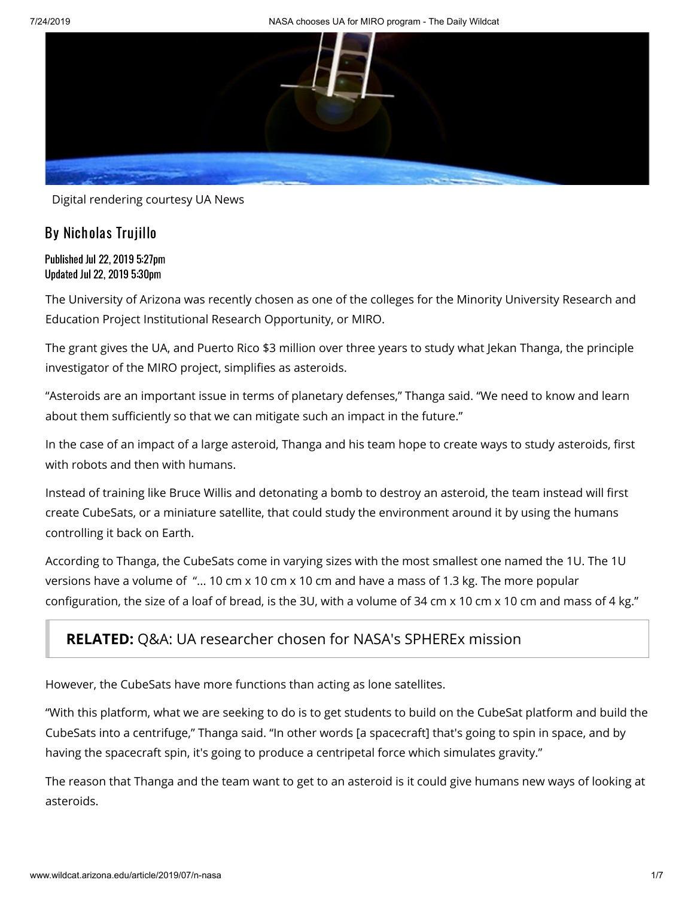

Digital rendering courtesy UA News

### By [Nicholas](http://www.wildcat.arizona.edu/staff/nicholas-trujillo) Trujillo

Published Jul 22, 2019 5:27pm Updated Jul 22, 2019 5:30pm

The University of Arizona was recently chosen as one of the colleges for the Minority University Research and Education Project Institutional Research Opportunity, or MIRO.

The grant gives the UA, and Puerto Rico \$3 million over three years to study what Jekan Thanga, the principle investigator of the MIRO project, simplifies as asteroids.

"Asteroids are an important issue in terms of planetary defenses," Thanga said. "We need to know and learn about them sufficiently so that we can mitigate such an impact in the future."

In the case of an impact of a large asteroid, Thanga and his team hope to create ways to study asteroids, first with robots and then with humans.

Instead of training like Bruce Willis and detonating a bomb to destroy an asteroid, the team instead will first create CubeSats, or a miniature satellite, that could study the environment around it by using the humans controlling it back on Earth.

According to Thanga, the CubeSats come in varying sizes with the most smallest one named the 1U. The 1U versions have a volume of "... 10 cm x 10 cm x 10 cm and have a mass of 1.3 kg. The more popular configuration, the size of a loaf of bread, is the 3U, with a volume of 34 cm  $\times$  10 cm  $\times$  10 cm and mass of 4 kg."

## **RELATED:** [Q&A: UA researcher chosen for NASA's SPHEREx mission](http://www.wildcat.arizona.edu/article/2019/02/n-nasa-q-a)

However, the CubeSats have more functions than acting as lone satellites.

"With this platform, what we are seeking to do is to get students to build on the CubeSat platform and build the CubeSats into a centrifuge," Thanga said. "In other words [a spacecraft] that's going to spin in space, and by having the spacecraft spin, it's going to produce a centripetal force which simulates gravity."

The reason that Thanga and the team want to get to an asteroid is it could give humans new ways of looking at asteroids.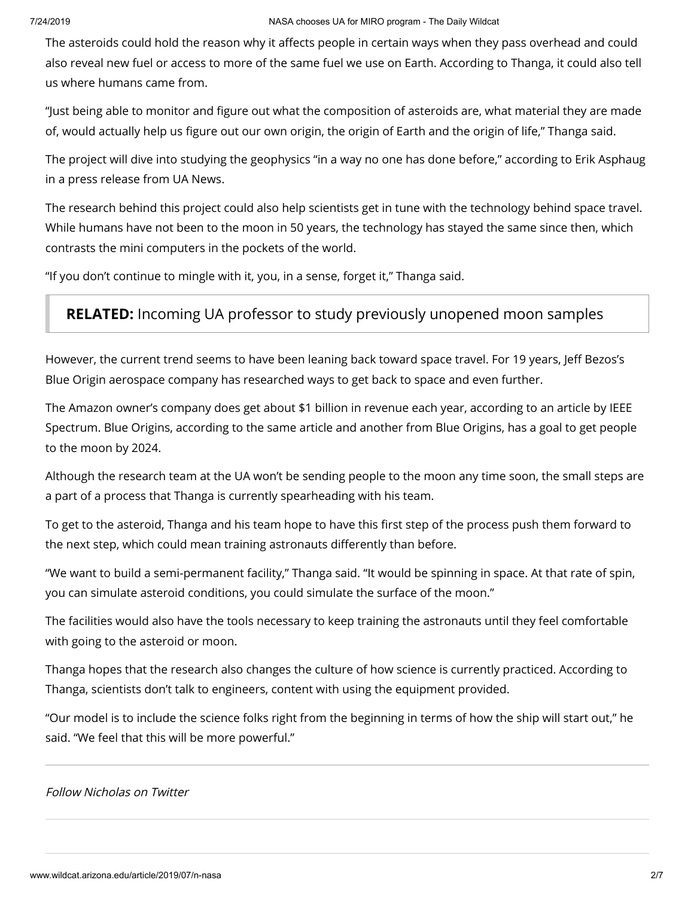The asteroids could hold the reason why it affects people in certain ways when they pass overhead and could also reveal new fuel or access to more of the same fuel we use on Earth. According to Thanga, it could also tell us where humans came from.

"Just being able to monitor and figure out what the composition of asteroids are, what material they are made of, would actually help us figure out our own origin, the origin of Earth and the origin of life," Thanga said.

The project will dive into studying the geophysics "in a way no one has done before," according to Erik Asphaug in a press release from UA News.

The research behind this project could also help scientists get in tune with the technology behind space travel. While humans have not been to the moon in 50 years, the technology has stayed the same since then, which contrasts the mini computers in the pockets of the world.

"If you don't continue to mingle with it, you, in a sense, forget it," Thanga said.

### **RELATED:** [Incoming UA professor to study previously unopened moon samples](http://www.wildcat.arizona.edu/article/2019/04/n-moon-samples)

However, the current trend seems to have been leaning back toward space travel. For 19 years, Jeff Bezos's Blue Origin aerospace company has researched ways to get back to space and even further.

The Amazon owner's company does get about \$1 billion in revenue each year, according to an article by IEEE Spectrum. Blue Origins, according to the same article and another from Blue Origins, has a goal to get people to the moon by 2024.

Although the research team at the UA won't be sending people to the moon any time soon, the small steps are a part of a process that Thanga is currently spearheading with his team.

To get to the asteroid, Thanga and his team hope to have this first step of the process push them forward to the next step, which could mean training astronauts differently than before.

"We want to build a semi-permanent facility," Thanga said. "It would be spinning in space. At that rate of spin, you can simulate asteroid conditions, you could simulate the surface of the moon."

The facilities would also have the tools necessary to keep training the astronauts until they feel comfortable with going to the asteroid or moon.

Thanga hopes that the research also changes the culture of how science is currently practiced. According to Thanga, scientists don't talk to engineers, content with using the equipment provided.

"Our model is to include the science folks right from the beginning in terms of how the ship will start out," he said. "We feel that this will be more powerful."

#### Follow Nicholas on [Twitter](https://twitter.com/fantastic_nick)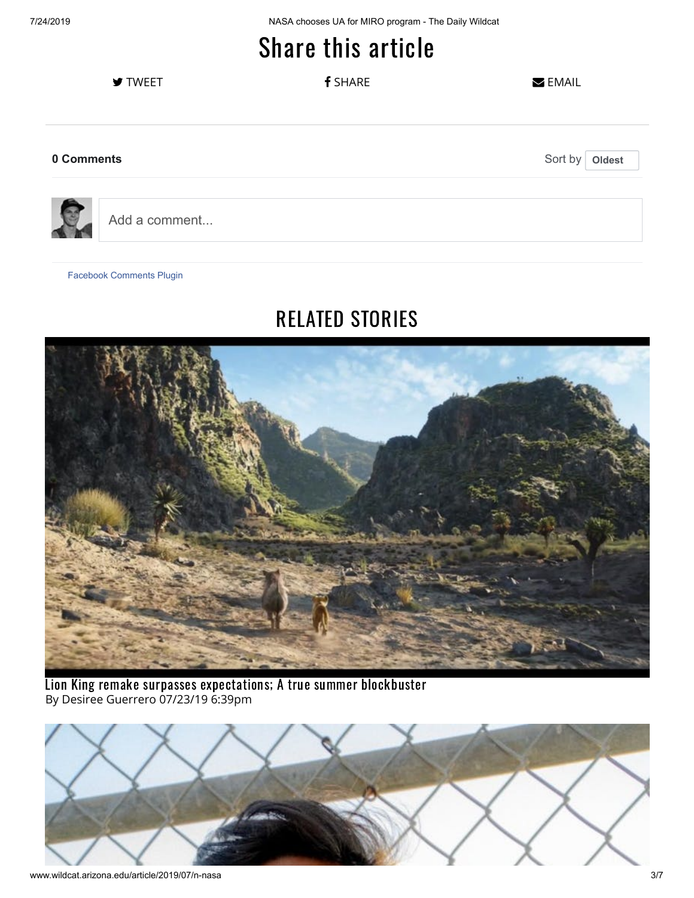7/24/2019 NASA chooses UA for MIRO program - The Daily Wildcat

# Share this article

 $\blacktriangleright$  [TWEET](http://twitter.com/intent/tweet?url=http://www.wildcat.arizona.edu/article/2019/07/n-nasa&text=NASA%20chooses%20UA%20for%20MIRO%20program)  $\blacktriangleright$  TWEET  $\blacktriangleright$   $\blacktriangleright$   $\blacktriangleright$   $\blacktriangleright$   $\blacktriangleright$   $\blacktriangleright$   $\blacktriangleright$   $\blacktriangleright$   $\blacktriangleright$   $\blacktriangleright$   $\blacktriangleright$   $\blacktriangleright$   $\blacktriangleright$   $\blacktriangleright$   $\blacktriangleright$   $\blacktriangleright$   $\blacktriangleright$   $\blacktriangleright$   $\blacktriangleright$   $\blacktriangleright$   $\blacktriangleright$   $\blacktriangleright$   $\blacktriangleright$   $\blacktriangleright$ 

#### **0 Comments**

Sort by **Oldest** 



Add a comment...

[Facebook Comments Plugin](https://developers.facebook.com/products/social-plugins/comments/?utm_campaign=social_plugins&utm_medium=offsite_pages&utm_source=comments_plugin)

## RELATED STORIES



Lion King remake surpasses [expectations;](http://www.wildcat.arizona.edu/article/2019/07/a-lionkingreview) A true summer block buster By [Desiree Guerrero](http://www.wildcat.arizona.edu/staff/desiree-guerrero) 07/23/19 6:39pm

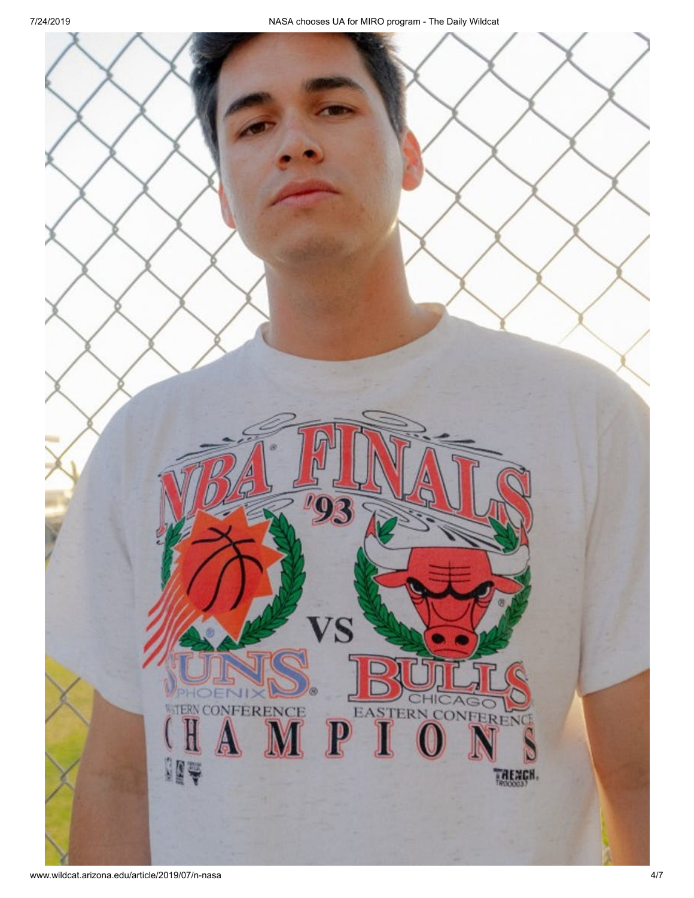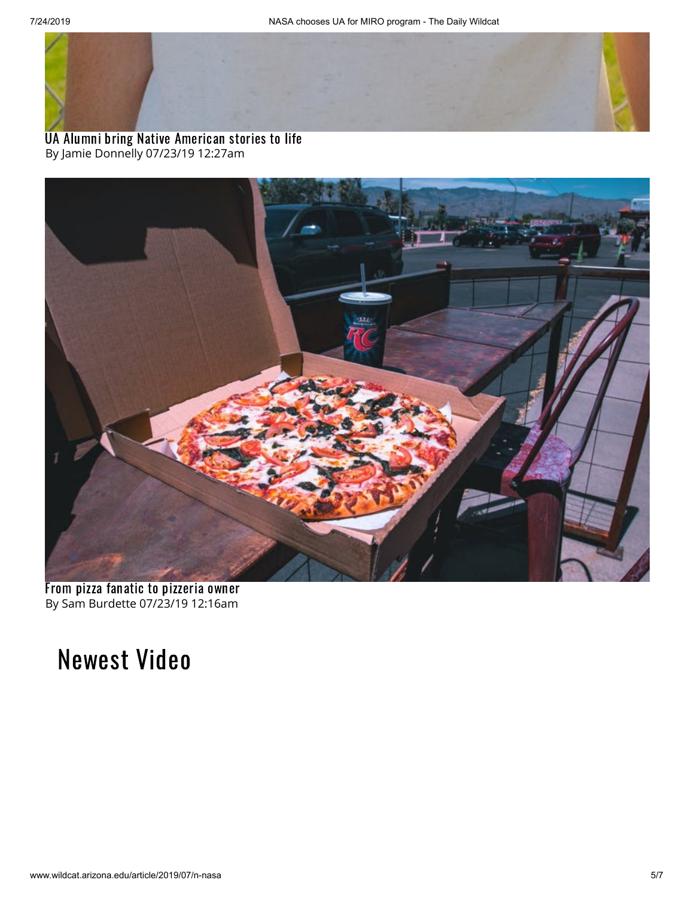

UA Alumni bring Native [American](http://www.wildcat.arizona.edu/article/2019/07/n-native-american-stories) stories to life By [Jamie Donnelly 0](http://www.wildcat.arizona.edu/staff/jamie-donnelly)7/23/19 12:27am



From pizza fanatic to [pizzeria](http://www.wildcat.arizona.edu/article/2019/07/a-atc-tinos) owner By [Sam Burdette](http://www.wildcat.arizona.edu/staff/sam_burdette) 07/23/19 12:16am

# [Newest](http://www.wildcat.arizona.edu/multimedia/video) Video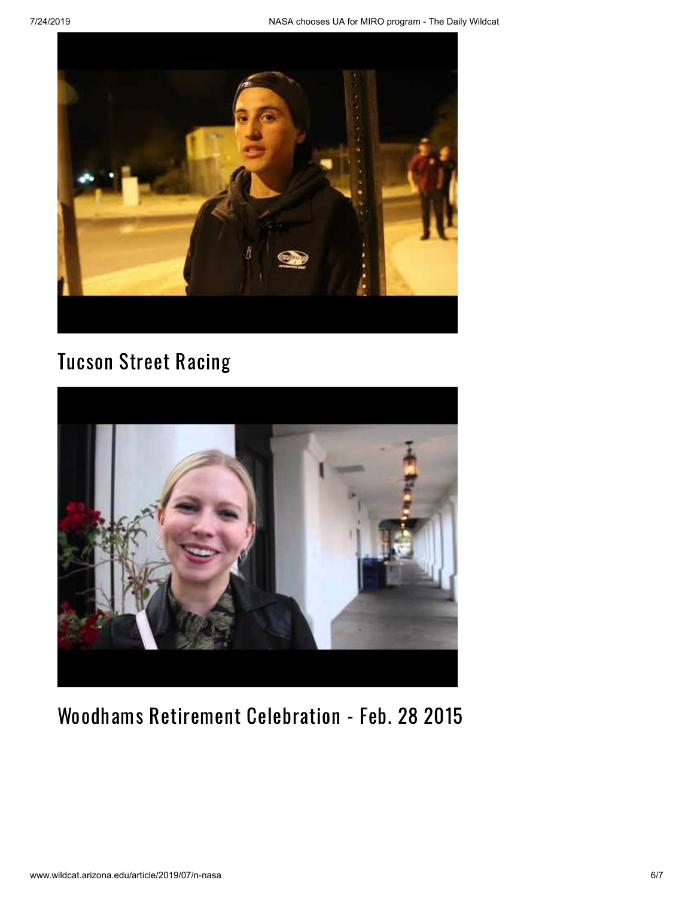

# [Tucson](http://www.wildcat.arizona.edu/multimedia/luZ80aTksbg) Street Racing



Woodhams Retirement [Celebration](http://www.wildcat.arizona.edu/multimedia/VWHpMvxvkeM) - Feb. 28 2015